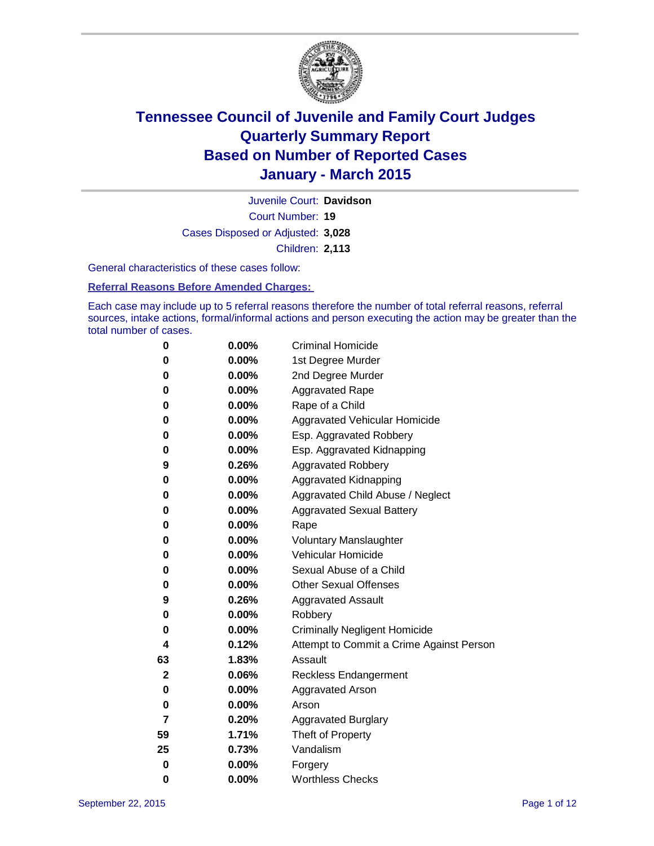

Court Number: **19** Juvenile Court: **Davidson** Cases Disposed or Adjusted: **3,028** Children: **2,113**

General characteristics of these cases follow:

### **Referral Reasons Before Amended Charges:**

Each case may include up to 5 referral reasons therefore the number of total referral reasons, referral sources, intake actions, formal/informal actions and person executing the action may be greater than the total number of cases.

| 0           | 0.00%    | <b>Criminal Homicide</b>                 |
|-------------|----------|------------------------------------------|
| 0           | 0.00%    | 1st Degree Murder                        |
| 0           | 0.00%    | 2nd Degree Murder                        |
| 0           | 0.00%    | <b>Aggravated Rape</b>                   |
| 0           | 0.00%    | Rape of a Child                          |
| 0           | 0.00%    | Aggravated Vehicular Homicide            |
| 0           | 0.00%    | Esp. Aggravated Robbery                  |
| 0           | 0.00%    | Esp. Aggravated Kidnapping               |
| 9           | 0.26%    | <b>Aggravated Robbery</b>                |
| 0           | 0.00%    | <b>Aggravated Kidnapping</b>             |
| 0           | 0.00%    | Aggravated Child Abuse / Neglect         |
| 0           | 0.00%    | <b>Aggravated Sexual Battery</b>         |
| 0           | 0.00%    | Rape                                     |
| 0           | $0.00\%$ | <b>Voluntary Manslaughter</b>            |
| 0           | 0.00%    | <b>Vehicular Homicide</b>                |
| 0           | 0.00%    | Sexual Abuse of a Child                  |
| 0           | 0.00%    | <b>Other Sexual Offenses</b>             |
| 9           | 0.26%    | <b>Aggravated Assault</b>                |
| 0           | 0.00%    | Robbery                                  |
| 0           | 0.00%    | <b>Criminally Negligent Homicide</b>     |
| 4           | 0.12%    | Attempt to Commit a Crime Against Person |
| 63          | 1.83%    | Assault                                  |
| $\mathbf 2$ | 0.06%    | <b>Reckless Endangerment</b>             |
| 0           | $0.00\%$ | <b>Aggravated Arson</b>                  |
| 0           | 0.00%    | Arson                                    |
| 7           | 0.20%    | <b>Aggravated Burglary</b>               |
| 59          | 1.71%    | Theft of Property                        |
| 25          | 0.73%    | Vandalism                                |
| $\bf{0}$    | 0.00%    | Forgery                                  |
| 0           | 0.00%    | <b>Worthless Checks</b>                  |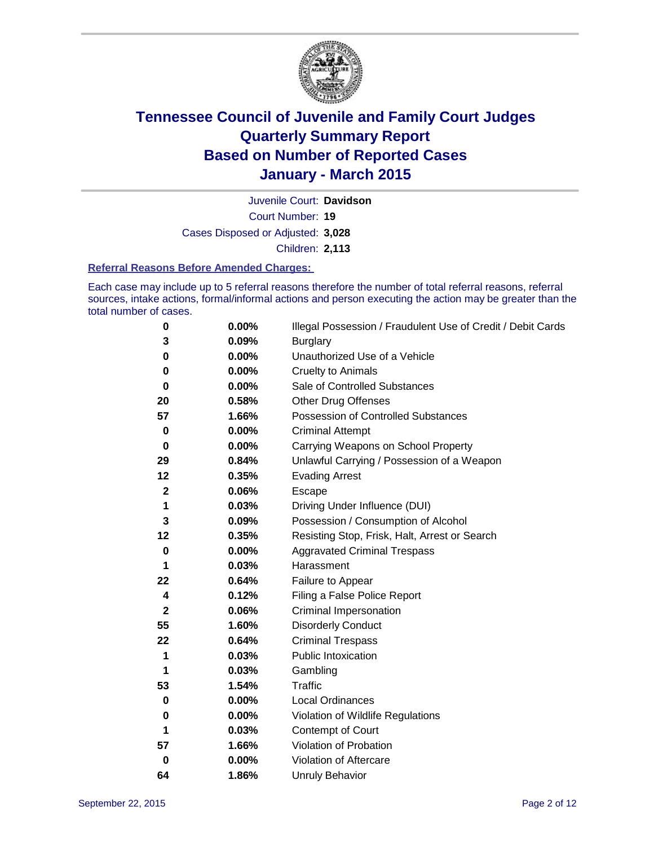

Court Number: **19** Juvenile Court: **Davidson** Cases Disposed or Adjusted: **3,028** Children: **2,113**

#### **Referral Reasons Before Amended Charges:**

Each case may include up to 5 referral reasons therefore the number of total referral reasons, referral sources, intake actions, formal/informal actions and person executing the action may be greater than the total number of cases.

| 0            | 0.00%    | Illegal Possession / Fraudulent Use of Credit / Debit Cards |
|--------------|----------|-------------------------------------------------------------|
| 3            | 0.09%    | <b>Burglary</b>                                             |
| 0            | 0.00%    | Unauthorized Use of a Vehicle                               |
| 0            | $0.00\%$ | <b>Cruelty to Animals</b>                                   |
| 0            | 0.00%    | Sale of Controlled Substances                               |
| 20           | 0.58%    | <b>Other Drug Offenses</b>                                  |
| 57           | 1.66%    | Possession of Controlled Substances                         |
| 0            | 0.00%    | <b>Criminal Attempt</b>                                     |
| 0            | 0.00%    | Carrying Weapons on School Property                         |
| 29           | 0.84%    | Unlawful Carrying / Possession of a Weapon                  |
| 12           | 0.35%    | <b>Evading Arrest</b>                                       |
| 2            | 0.06%    | Escape                                                      |
| 1            | 0.03%    | Driving Under Influence (DUI)                               |
| 3            | 0.09%    | Possession / Consumption of Alcohol                         |
| 12           | 0.35%    | Resisting Stop, Frisk, Halt, Arrest or Search               |
| 0            | 0.00%    | <b>Aggravated Criminal Trespass</b>                         |
| 1            | 0.03%    | Harassment                                                  |
| 22           | 0.64%    | Failure to Appear                                           |
| 4            | 0.12%    | Filing a False Police Report                                |
| $\mathbf{2}$ | 0.06%    | Criminal Impersonation                                      |
| 55           | 1.60%    | <b>Disorderly Conduct</b>                                   |
| 22           | 0.64%    | <b>Criminal Trespass</b>                                    |
| 1            | 0.03%    | Public Intoxication                                         |
| 1            | 0.03%    | Gambling                                                    |
| 53           | 1.54%    | <b>Traffic</b>                                              |
| 0            | 0.00%    | Local Ordinances                                            |
| 0            | $0.00\%$ | Violation of Wildlife Regulations                           |
| 1            | 0.03%    | Contempt of Court                                           |
| 57           | 1.66%    | Violation of Probation                                      |
| 0            | 0.00%    | Violation of Aftercare                                      |
| 64           | 1.86%    | <b>Unruly Behavior</b>                                      |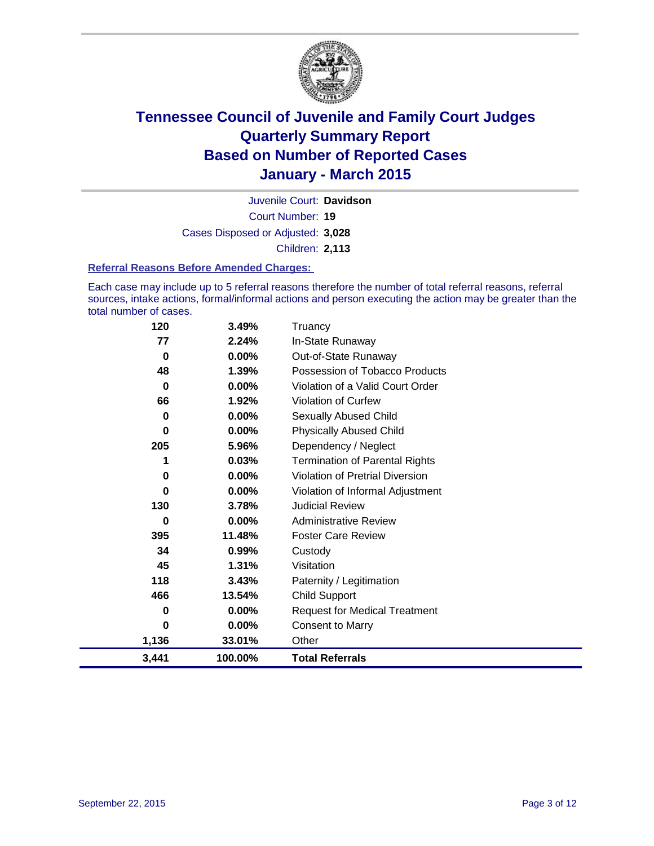

Court Number: **19** Juvenile Court: **Davidson** Cases Disposed or Adjusted: **3,028** Children: **2,113**

### **Referral Reasons Before Amended Charges:**

Each case may include up to 5 referral reasons therefore the number of total referral reasons, referral sources, intake actions, formal/informal actions and person executing the action may be greater than the total number of cases.

| 120      | 3.49%   | Truancy                                |
|----------|---------|----------------------------------------|
| 77       | 2.24%   | In-State Runaway                       |
| $\bf{0}$ | 0.00%   | Out-of-State Runaway                   |
| 48       | 1.39%   | Possession of Tobacco Products         |
| 0        | 0.00%   | Violation of a Valid Court Order       |
| 66       | 1.92%   | Violation of Curfew                    |
| 0        | 0.00%   | Sexually Abused Child                  |
| 0        | 0.00%   | <b>Physically Abused Child</b>         |
| 205      | 5.96%   | Dependency / Neglect                   |
| 1        | 0.03%   | <b>Termination of Parental Rights</b>  |
| 0        | 0.00%   | <b>Violation of Pretrial Diversion</b> |
| 0        | 0.00%   | Violation of Informal Adjustment       |
| 130      | 3.78%   | <b>Judicial Review</b>                 |
| 0        | 0.00%   | <b>Administrative Review</b>           |
| 395      | 11.48%  | <b>Foster Care Review</b>              |
| 34       | 0.99%   | Custody                                |
| 45       | 1.31%   | Visitation                             |
| 118      | 3.43%   | Paternity / Legitimation               |
| 466      | 13.54%  | <b>Child Support</b>                   |
| 0        | 0.00%   | <b>Request for Medical Treatment</b>   |
| 0        | 0.00%   | <b>Consent to Marry</b>                |
| 1,136    | 33.01%  | Other                                  |
| 3,441    | 100.00% | <b>Total Referrals</b>                 |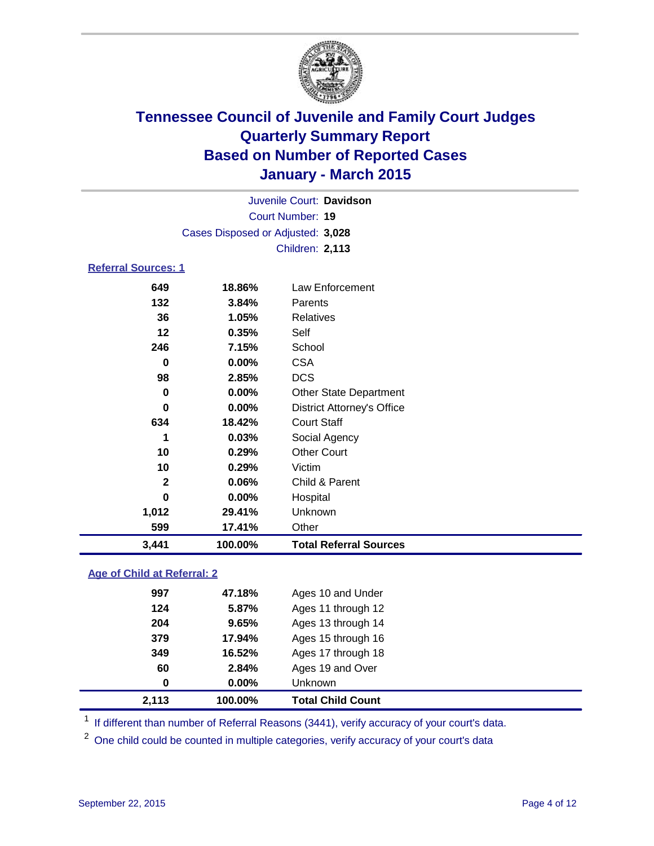

Court Number: **19** Juvenile Court: **Davidson** Cases Disposed or Adjusted: **3,028** Children: **2,113**

### **Referral Sources: 1**

| 3,441        | 100.00%  | <b>Total Referral Sources</b>     |
|--------------|----------|-----------------------------------|
| 599          | 17.41%   | Other                             |
| 1,012        | 29.41%   | Unknown                           |
| 0            | $0.00\%$ | Hospital                          |
| $\mathbf{2}$ | 0.06%    | Child & Parent                    |
| 10           | 0.29%    | Victim                            |
| 10           | 0.29%    | <b>Other Court</b>                |
| 1            | 0.03%    | Social Agency                     |
| 634          | 18.42%   | <b>Court Staff</b>                |
| 0            | $0.00\%$ | <b>District Attorney's Office</b> |
| 0            | $0.00\%$ | <b>Other State Department</b>     |
| 98           | 2.85%    | <b>DCS</b>                        |
| 0            | $0.00\%$ | <b>CSA</b>                        |
| 246          | 7.15%    | School                            |
| 12           | 0.35%    | Self                              |
| 36           | 1.05%    | Relatives                         |
| 132          | 3.84%    | <b>Parents</b>                    |
| 649          | 18.86%   | Law Enforcement                   |

### **Age of Child at Referral: 2**

| 2,113 | 100.00%  | <b>Total Child Count</b> |
|-------|----------|--------------------------|
| 0     | $0.00\%$ | <b>Unknown</b>           |
| 60    | 2.84%    | Ages 19 and Over         |
| 349   | 16.52%   | Ages 17 through 18       |
| 379   | 17.94%   | Ages 15 through 16       |
| 204   | 9.65%    | Ages 13 through 14       |
| 124   | 5.87%    | Ages 11 through 12       |
| 997   | 47.18%   | Ages 10 and Under        |

<sup>1</sup> If different than number of Referral Reasons (3441), verify accuracy of your court's data.

One child could be counted in multiple categories, verify accuracy of your court's data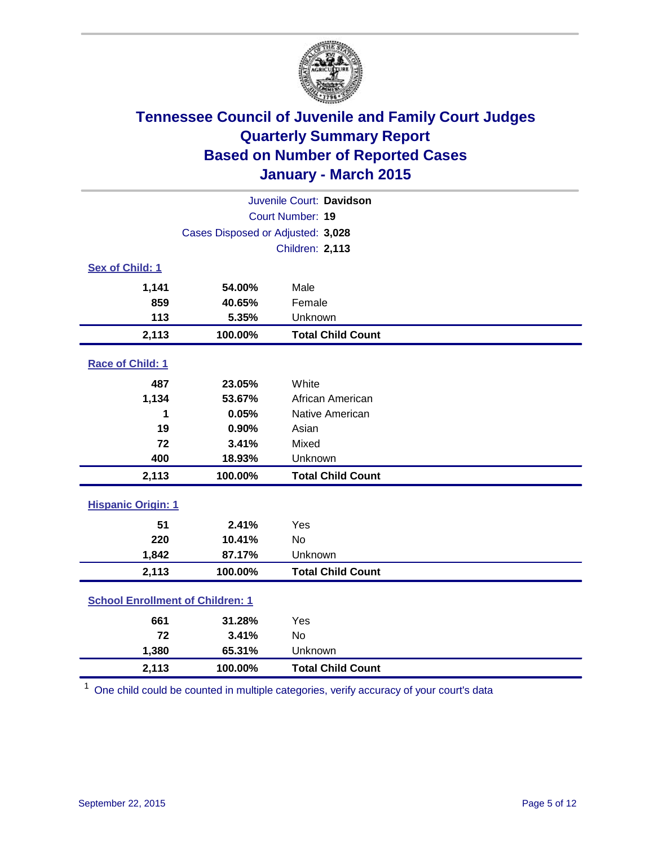

| Juvenile Court: Davidson                |                                   |                          |  |  |  |
|-----------------------------------------|-----------------------------------|--------------------------|--|--|--|
|                                         | Court Number: 19                  |                          |  |  |  |
|                                         | Cases Disposed or Adjusted: 3,028 |                          |  |  |  |
|                                         |                                   | <b>Children: 2,113</b>   |  |  |  |
| Sex of Child: 1                         |                                   |                          |  |  |  |
| 1,141                                   | 54.00%                            | Male                     |  |  |  |
| 859                                     | 40.65%                            | Female                   |  |  |  |
| 113                                     | 5.35%                             | Unknown                  |  |  |  |
| 2,113                                   | 100.00%                           | <b>Total Child Count</b> |  |  |  |
| Race of Child: 1                        |                                   |                          |  |  |  |
| 487                                     | 23.05%                            | White                    |  |  |  |
| 1,134                                   | 53.67%                            | African American         |  |  |  |
| 1                                       | 0.05%                             | Native American          |  |  |  |
| 19                                      | 0.90%                             | Asian                    |  |  |  |
| 72                                      | 3.41%                             | Mixed                    |  |  |  |
| 400                                     | 18.93%                            | Unknown                  |  |  |  |
| 2,113                                   | 100.00%                           | <b>Total Child Count</b> |  |  |  |
| <b>Hispanic Origin: 1</b>               |                                   |                          |  |  |  |
| 51                                      | 2.41%                             | Yes                      |  |  |  |
| 220                                     | 10.41%                            | <b>No</b>                |  |  |  |
| 1,842                                   | 87.17%                            | Unknown                  |  |  |  |
| 2,113                                   | 100.00%                           | <b>Total Child Count</b> |  |  |  |
| <b>School Enrollment of Children: 1</b> |                                   |                          |  |  |  |
| 661                                     | 31.28%                            | Yes                      |  |  |  |
| 72                                      | 3.41%                             | No                       |  |  |  |
| 1,380                                   | 65.31%                            | Unknown                  |  |  |  |
| 2,113                                   | 100.00%                           | <b>Total Child Count</b> |  |  |  |

<sup>1</sup> One child could be counted in multiple categories, verify accuracy of your court's data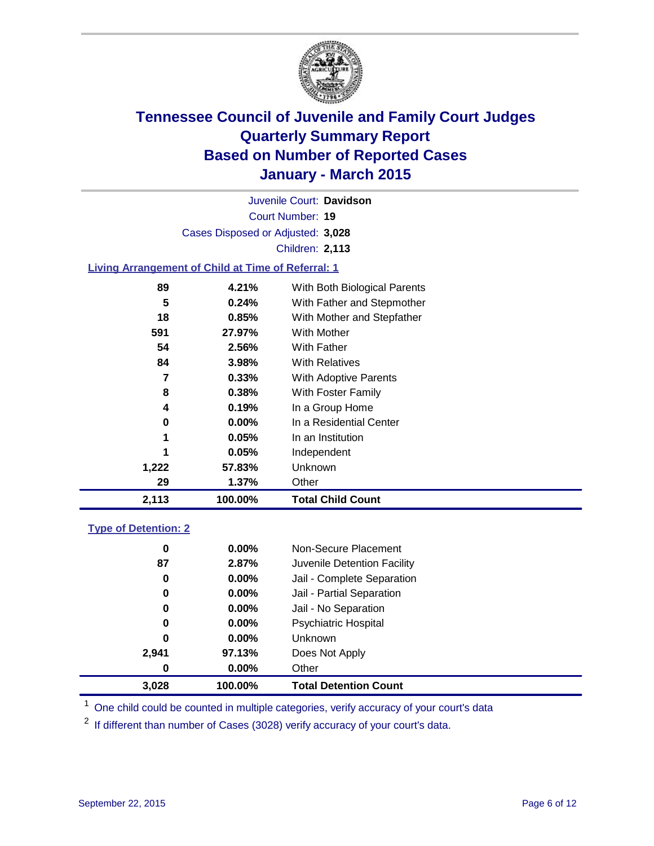

Court Number: **19** Juvenile Court: **Davidson** Cases Disposed or Adjusted: **3,028** Children: **2,113**

### **Living Arrangement of Child at Time of Referral: 1**

| 2,113 | 100.00% | <b>Total Child Count</b>     |
|-------|---------|------------------------------|
| 29    | 1.37%   | Other                        |
| 1,222 | 57.83%  | Unknown                      |
|       | 0.05%   | Independent                  |
| 1     | 0.05%   | In an Institution            |
| 0     | 0.00%   | In a Residential Center      |
| 4     | 0.19%   | In a Group Home              |
| 8     | 0.38%   | With Foster Family           |
| 7     | 0.33%   | With Adoptive Parents        |
| 84    | 3.98%   | <b>With Relatives</b>        |
| 54    | 2.56%   | With Father                  |
| 591   | 27.97%  | With Mother                  |
| 18    | 0.85%   | With Mother and Stepfather   |
| 5     | 0.24%   | With Father and Stepmother   |
| 89    | 4.21%   | With Both Biological Parents |
|       |         |                              |

### **Type of Detention: 2**

| 0<br>87<br>0 | $0.00\%$<br>2.87%<br>$0.00\%$ | Non-Secure Placement<br>Juvenile Detention Facility<br>Jail - Complete Separation |
|--------------|-------------------------------|-----------------------------------------------------------------------------------|
| 0            | $0.00\%$                      | Jail - Partial Separation                                                         |
| 0            | $0.00\%$                      | Jail - No Separation                                                              |
| 0            | $0.00\%$                      | Psychiatric Hospital                                                              |
| 0            | $0.00\%$                      | <b>Unknown</b>                                                                    |
| 2,941        | 97.13%                        | Does Not Apply                                                                    |
| 0            | $0.00\%$                      | Other                                                                             |
| 3,028        | 100.00%                       | <b>Total Detention Count</b>                                                      |

<sup>1</sup> One child could be counted in multiple categories, verify accuracy of your court's data

 $2$  If different than number of Cases (3028) verify accuracy of your court's data.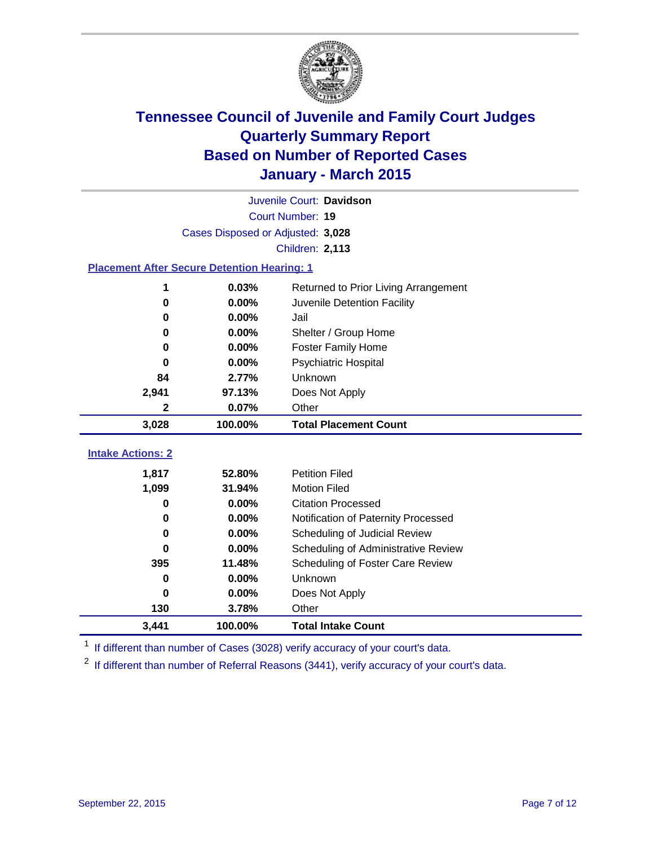

|                                                    | Juvenile Court: Davidson |                                      |  |  |  |
|----------------------------------------------------|--------------------------|--------------------------------------|--|--|--|
|                                                    | Court Number: 19         |                                      |  |  |  |
| Cases Disposed or Adjusted: 3,028                  |                          |                                      |  |  |  |
|                                                    |                          | <b>Children: 2,113</b>               |  |  |  |
| <b>Placement After Secure Detention Hearing: 1</b> |                          |                                      |  |  |  |
| 1                                                  | 0.03%                    | Returned to Prior Living Arrangement |  |  |  |
| $\bf{0}$                                           | 0.00%                    | Juvenile Detention Facility          |  |  |  |
| 0                                                  | 0.00%                    | Jail                                 |  |  |  |
| 0                                                  | 0.00%                    | Shelter / Group Home                 |  |  |  |
| 0                                                  | 0.00%                    | Foster Family Home                   |  |  |  |
| 0                                                  | 0.00%                    | <b>Psychiatric Hospital</b>          |  |  |  |
| 84                                                 | 2.77%                    | Unknown                              |  |  |  |
| 2,941                                              | 97.13%                   | Does Not Apply                       |  |  |  |
| 2                                                  | 0.07%                    | Other                                |  |  |  |
| 3,028                                              | 100.00%                  | <b>Total Placement Count</b>         |  |  |  |
|                                                    |                          |                                      |  |  |  |
| <b>Intake Actions: 2</b>                           |                          |                                      |  |  |  |
| 1,817                                              | 52.80%                   | <b>Petition Filed</b>                |  |  |  |
| 1,099                                              | 31.94%                   | <b>Motion Filed</b>                  |  |  |  |
| 0                                                  | 0.00%                    | <b>Citation Processed</b>            |  |  |  |
| 0                                                  | 0.00%                    | Notification of Paternity Processed  |  |  |  |
| 0                                                  | 0.00%                    | Scheduling of Judicial Review        |  |  |  |
| 0                                                  | 0.00%                    | Scheduling of Administrative Review  |  |  |  |
| 395                                                | 11.48%                   | Scheduling of Foster Care Review     |  |  |  |
| 0                                                  | 0.00%                    | Unknown                              |  |  |  |
| 0                                                  | 0.00%                    | Does Not Apply                       |  |  |  |
| 130                                                | 3.78%                    | Other                                |  |  |  |
| 3,441                                              | 100.00%                  | <b>Total Intake Count</b>            |  |  |  |

<sup>1</sup> If different than number of Cases (3028) verify accuracy of your court's data.

 $2$  If different than number of Referral Reasons (3441), verify accuracy of your court's data.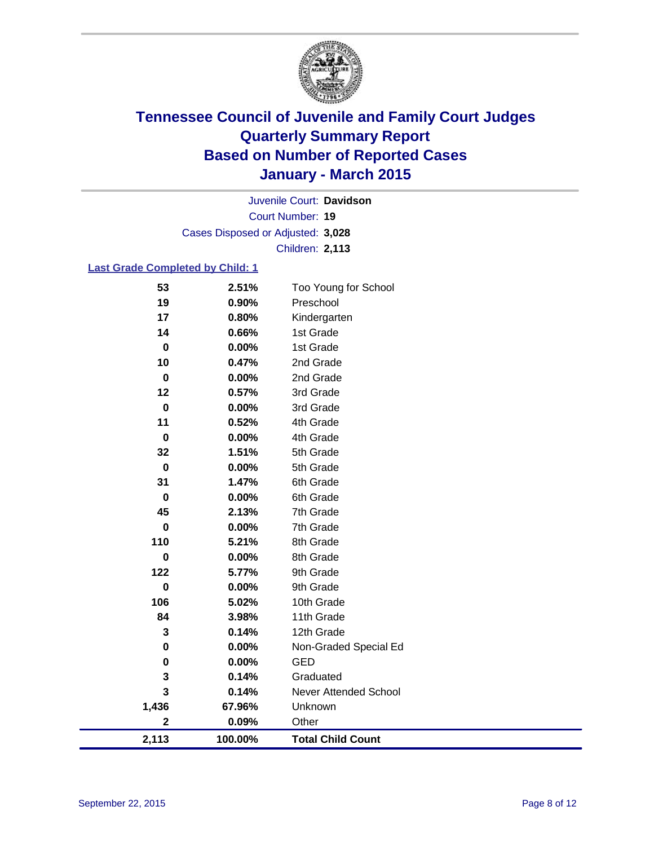

Court Number: **19** Juvenile Court: **Davidson** Cases Disposed or Adjusted: **3,028** Children: **2,113**

### **Last Grade Completed by Child: 1**

| 53          | 2.51%   | Too Young for School     |
|-------------|---------|--------------------------|
| 19          | 0.90%   | Preschool                |
| 17          | 0.80%   | Kindergarten             |
| 14          | 0.66%   | 1st Grade                |
| $\pmb{0}$   | 0.00%   | 1st Grade                |
| 10          | 0.47%   | 2nd Grade                |
| $\pmb{0}$   | 0.00%   | 2nd Grade                |
| 12          | 0.57%   | 3rd Grade                |
| $\pmb{0}$   | 0.00%   | 3rd Grade                |
| 11          | 0.52%   | 4th Grade                |
| $\bf{0}$    | 0.00%   | 4th Grade                |
| 32          | 1.51%   | 5th Grade                |
| $\pmb{0}$   | 0.00%   | 5th Grade                |
| 31          | 1.47%   | 6th Grade                |
| $\pmb{0}$   | 0.00%   | 6th Grade                |
| 45          | 2.13%   | 7th Grade                |
| $\bf{0}$    | 0.00%   | 7th Grade                |
| 110         | 5.21%   | 8th Grade                |
| $\bf{0}$    | 0.00%   | 8th Grade                |
| 122         | 5.77%   | 9th Grade                |
| $\bf{0}$    | 0.00%   | 9th Grade                |
| 106         | 5.02%   | 10th Grade               |
| 84          | 3.98%   | 11th Grade               |
| 3           | 0.14%   | 12th Grade               |
| $\bf{0}$    | 0.00%   | Non-Graded Special Ed    |
| $\bf{0}$    | 0.00%   | <b>GED</b>               |
| 3           | 0.14%   | Graduated                |
| 3           | 0.14%   | Never Attended School    |
| 1,436       | 67.96%  | Unknown                  |
| $\mathbf 2$ | 0.09%   | Other                    |
| 2,113       | 100.00% | <b>Total Child Count</b> |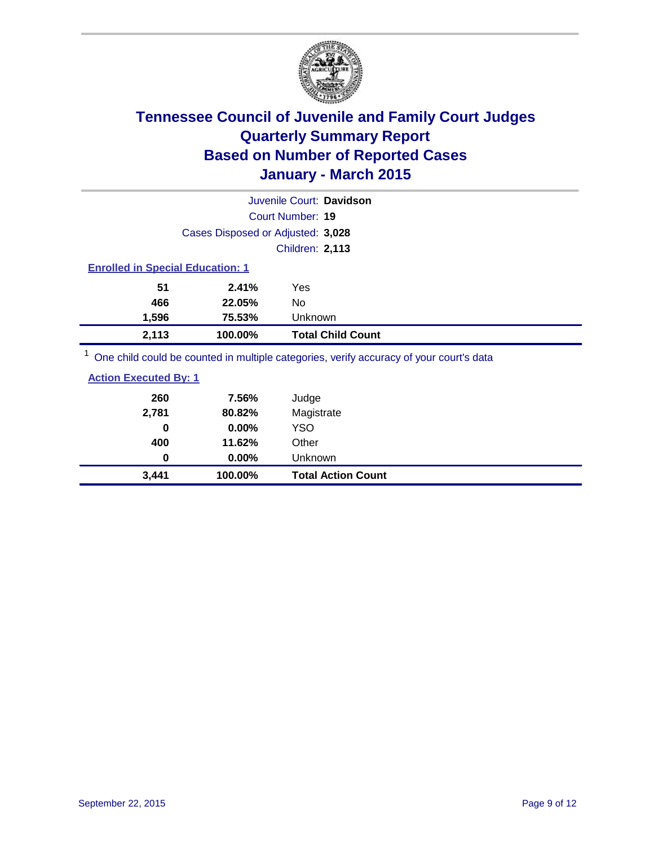

|                                         |                                   | Juvenile Court: Davidson                                                                |
|-----------------------------------------|-----------------------------------|-----------------------------------------------------------------------------------------|
|                                         |                                   | Court Number: 19                                                                        |
|                                         | Cases Disposed or Adjusted: 3,028 |                                                                                         |
|                                         |                                   | <b>Children: 2,113</b>                                                                  |
| <b>Enrolled in Special Education: 1</b> |                                   |                                                                                         |
| 51                                      | 2.41%                             | Yes                                                                                     |
| 466                                     | 22.05%                            | No                                                                                      |
| 1,596                                   | 75.53%                            | Unknown                                                                                 |
| 2,113                                   | 100.00%                           | <b>Total Child Count</b>                                                                |
|                                         |                                   | One child could be counted in multiple categories, verify accuracy of your court's data |

| 3,441                        | 100.00% | <b>Total Action Count</b> |
|------------------------------|---------|---------------------------|
| 0                            | 0.00%   | Unknown                   |
| 400                          | 11.62%  | Other                     |
| 0                            | 0.00%   | YSO.                      |
| 2,781                        | 80.82%  | Magistrate                |
| 260                          | 7.56%   | Judge                     |
| <b>Action Executed By: 1</b> |         |                           |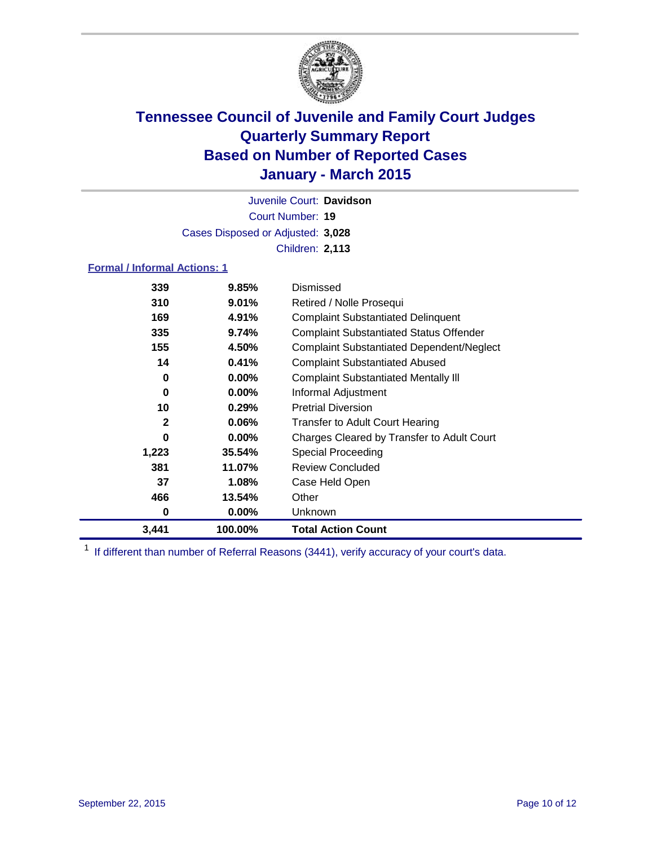

Court Number: **19** Juvenile Court: **Davidson** Cases Disposed or Adjusted: **3,028** Children: **2,113**

### **Formal / Informal Actions: 1**

| 339          | 9.85%    | Dismissed                                        |
|--------------|----------|--------------------------------------------------|
| 310          | $9.01\%$ | Retired / Nolle Prosequi                         |
| 169          | 4.91%    | <b>Complaint Substantiated Delinquent</b>        |
| 335          | 9.74%    | <b>Complaint Substantiated Status Offender</b>   |
| 155          | 4.50%    | <b>Complaint Substantiated Dependent/Neglect</b> |
| 14           | 0.41%    | <b>Complaint Substantiated Abused</b>            |
| 0            | $0.00\%$ | <b>Complaint Substantiated Mentally III</b>      |
| 0            | $0.00\%$ | Informal Adjustment                              |
| 10           | 0.29%    | <b>Pretrial Diversion</b>                        |
| $\mathbf{2}$ | $0.06\%$ | <b>Transfer to Adult Court Hearing</b>           |
| 0            | $0.00\%$ | Charges Cleared by Transfer to Adult Court       |
| 1,223        | 35.54%   | Special Proceeding                               |
| 381          | 11.07%   | <b>Review Concluded</b>                          |
| 37           | 1.08%    | Case Held Open                                   |
| 466          | 13.54%   | Other                                            |
| 0            | 0.00%    | Unknown                                          |
| 3,441        | 100.00%  | <b>Total Action Count</b>                        |

<sup>1</sup> If different than number of Referral Reasons (3441), verify accuracy of your court's data.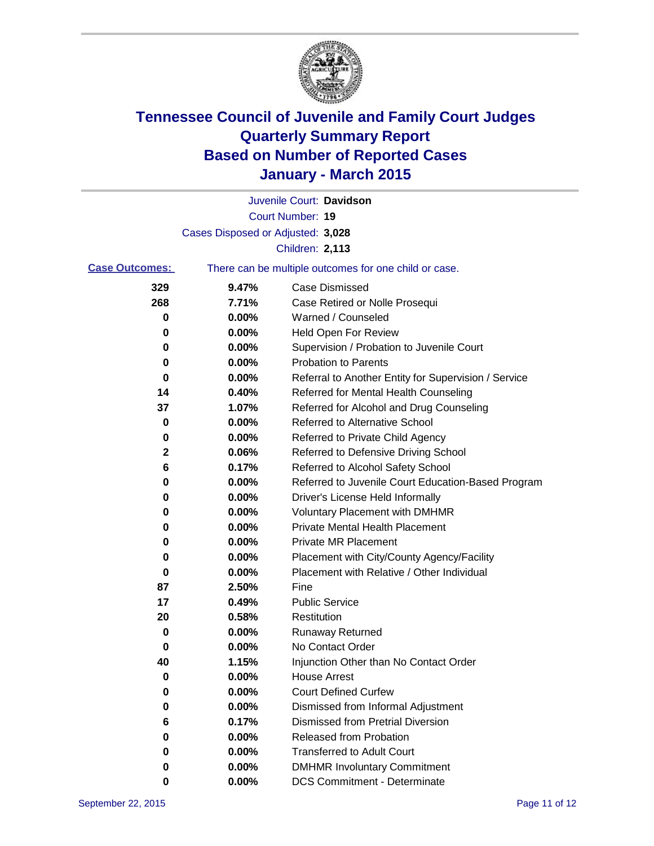

|                       |                                                       | Juvenile Court: Davidson                             |  |
|-----------------------|-------------------------------------------------------|------------------------------------------------------|--|
|                       |                                                       | Court Number: 19                                     |  |
|                       | Cases Disposed or Adjusted: 3,028                     |                                                      |  |
|                       |                                                       | <b>Children: 2,113</b>                               |  |
| <b>Case Outcomes:</b> | There can be multiple outcomes for one child or case. |                                                      |  |
| 329                   | 9.47%                                                 | <b>Case Dismissed</b>                                |  |
| 268                   | 7.71%                                                 | Case Retired or Nolle Prosequi                       |  |
| 0                     | 0.00%                                                 | Warned / Counseled                                   |  |
| 0                     | 0.00%                                                 | <b>Held Open For Review</b>                          |  |
| 0                     | 0.00%                                                 | Supervision / Probation to Juvenile Court            |  |
| 0                     | $0.00\%$                                              | <b>Probation to Parents</b>                          |  |
| 0                     | 0.00%                                                 | Referral to Another Entity for Supervision / Service |  |
| 14                    | 0.40%                                                 | Referred for Mental Health Counseling                |  |
| 37                    | 1.07%                                                 | Referred for Alcohol and Drug Counseling             |  |
| 0                     | 0.00%                                                 | Referred to Alternative School                       |  |
| 0                     | 0.00%                                                 | Referred to Private Child Agency                     |  |
| 2                     | 0.06%                                                 | Referred to Defensive Driving School                 |  |
| 6                     | 0.17%                                                 | Referred to Alcohol Safety School                    |  |
| 0                     | 0.00%                                                 | Referred to Juvenile Court Education-Based Program   |  |
| 0                     | 0.00%                                                 | Driver's License Held Informally                     |  |
| 0                     | 0.00%                                                 | <b>Voluntary Placement with DMHMR</b>                |  |
| 0                     | 0.00%                                                 | <b>Private Mental Health Placement</b>               |  |
| 0                     | 0.00%                                                 | <b>Private MR Placement</b>                          |  |
| 0                     | 0.00%                                                 | Placement with City/County Agency/Facility           |  |
| 0                     | 0.00%                                                 | Placement with Relative / Other Individual           |  |
| 87                    | 2.50%                                                 | Fine                                                 |  |
| 17                    | 0.49%                                                 | <b>Public Service</b>                                |  |
| 20                    | 0.58%                                                 | Restitution                                          |  |
| 0                     | 0.00%                                                 | <b>Runaway Returned</b>                              |  |
| 0                     | 0.00%                                                 | No Contact Order                                     |  |
| 40                    | 1.15%                                                 | Injunction Other than No Contact Order               |  |
| U                     | $0.00\%$                                              | <b>House Arrest</b>                                  |  |
| 0                     | 0.00%                                                 | <b>Court Defined Curfew</b>                          |  |
| 0                     | 0.00%                                                 | Dismissed from Informal Adjustment                   |  |
| 6                     | 0.17%                                                 | <b>Dismissed from Pretrial Diversion</b>             |  |
| 0                     | 0.00%                                                 | Released from Probation                              |  |
| 0                     | 0.00%                                                 | <b>Transferred to Adult Court</b>                    |  |
| 0                     | 0.00%                                                 | <b>DMHMR Involuntary Commitment</b>                  |  |
| 0                     | $0.00\%$                                              | <b>DCS Commitment - Determinate</b>                  |  |